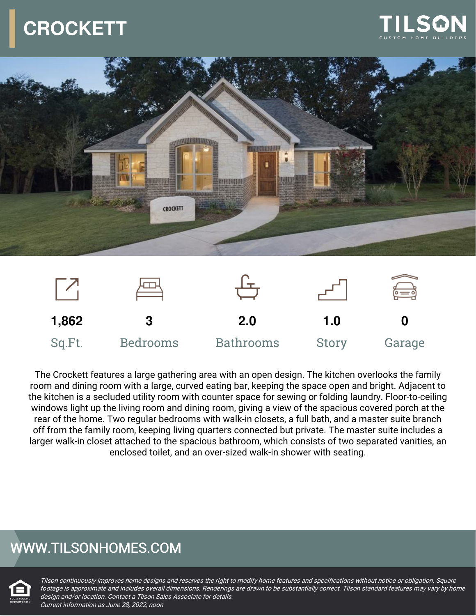# **CROCKETT**







The Crockett features a large gathering area with an open design. The kitchen overlooks the family room and dining room with a large, curved eating bar, keeping the space open and bright. Adjacent to the kitchen is a secluded utility room with counter space for sewing or folding laundry. Floor-to-ceiling windows light up the living room and dining room, giving a view of the spacious covered porch at the rear of the home. Two regular bedrooms with walk-in closets, a full bath, and a master suite branch off from the family room, keeping living quarters connected but private. The master suite includes a larger walk-in closet attached to the spacious bathroom, which consists of two separated vanities, an enclosed toilet, and an over-sized walk-in shower with seating.

### WWW.TILSONHOMES.COM



Tilson continuously improves home designs and reserves the right to modify home features and specifications without notice or obligation. Square footage is approximate and includes overall dimensions. Renderings are drawn to be substantially correct. Tilson standard features may vary by home design and/or location. Contact <sup>a</sup> Tilson Sales Associate for details. Current information as June 28, 2022, noon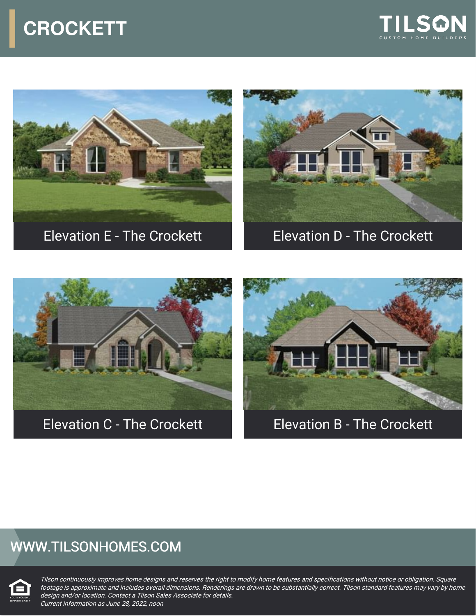## **CROCKETT**











Elevation C - The Crockett **Elevation B - The Crockett** 

### WWW.TILSONHOMES.COM



Tilson continuously improves home designs and reserves the right to modify home features and specifications without notice or obligation. Square footage is approximate and includes overall dimensions. Renderings are drawn to be substantially correct. Tilson standard features may vary by home design and/or location. Contact <sup>a</sup> Tilson Sales Associate for details. Current information as June 28, 2022, noon